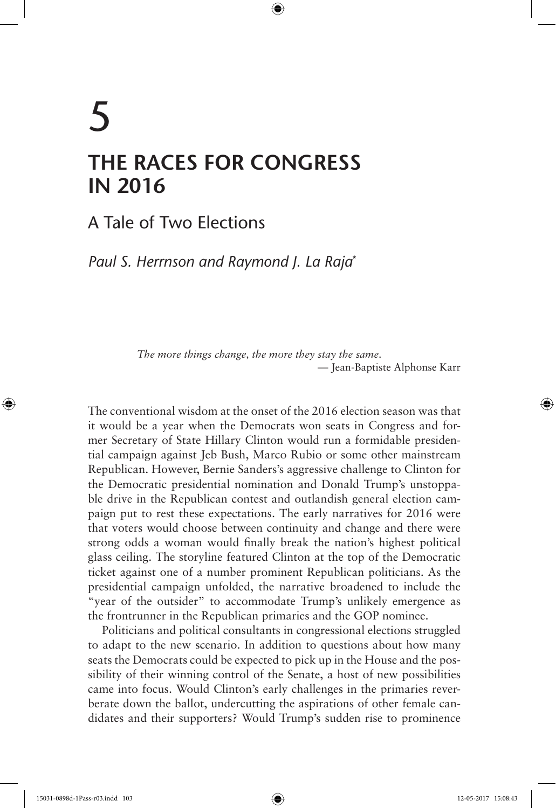# 5 **THE RACES FOR CONGRESS IN 2016**

⊕

A Tale of Two Elections

*Paul S. Herrnson and Raymond J. La Raja*\*

*The more things change, the more they stay the same*. — Jean-Baptiste Alphonse Karr

The conventional wisdom at the onset of the 2016 election season was that it would be a year when the Democrats won seats in Congress and former Secretary of State Hillary Clinton would run a formidable presidential campaign against Jeb Bush, Marco Rubio or some other mainstream Republican. However, Bernie Sanders's aggressive challenge to Clinton for the Democratic presidential nomination and Donald Trump's unstoppable drive in the Republican contest and outlandish general election campaign put to rest these expectations. The early narratives for 2016 were that voters would choose between continuity and change and there were strong odds a woman would finally break the nation's highest political glass ceiling. The storyline featured Clinton at the top of the Democratic ticket against one of a number prominent Republican politicians. As the presidential campaign unfolded, the narrative broadened to include the "year of the outsider" to accommodate Trump's unlikely emergence as the frontrunner in the Republican primaries and the GOP nominee.

Politicians and political consultants in congressional elections struggled to adapt to the new scenario. In addition to questions about how many seats the Democrats could be expected to pick up in the House and the possibility of their winning control of the Senate, a host of new possibilities came into focus. Would Clinton's early challenges in the primaries reverberate down the ballot, undercutting the aspirations of other female candidates and their supporters? Would Trump's sudden rise to prominence

⊕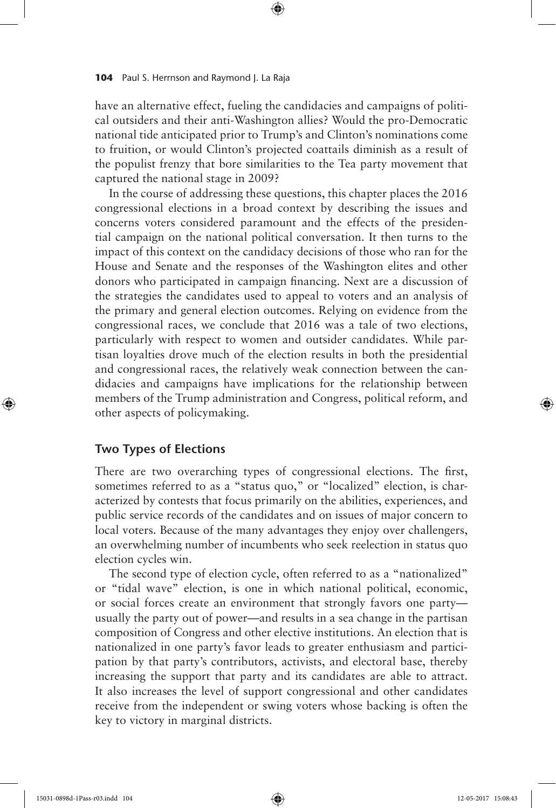have an alternative effect, fueling the candidacies and campaigns of political outsiders and their anti-Washington allies? Would the pro-Democratic national tide anticipated prior to Trump's and Clinton's nominations come to fruition, or would Clinton's projected coattails diminish as a result of the populist frenzy that bore similarities to the Tea party movement that captured the national stage in 2009?

⊕

In the course of addressing these questions, this chapter places the 2016 congressional elections in a broad context by describing the issues and concerns voters considered paramount and the effects of the presidential campaign on the national political conversation. It then turns to the impact of this context on the candidacy decisions of those who ran for the House and Senate and the responses of the Washington elites and other donors who participated in campaign financing. Next are a discussion of the strategies the candidates used to appeal to voters and an analysis of the primary and general election outcomes. Relying on evidence from the congressional races, we conclude that 2016 was a tale of two elections, particularly with respect to women and outsider candidates. While partisan loyalties drove much of the election results in both the presidential and congressional races, the relatively weak connection between the candidacies and campaigns have implications for the relationship between members of the Trump administration and Congress, political reform, and other aspects of policymaking.

# **Two Types of Elections**

There are two overarching types of congressional elections. The first, sometimes referred to as a "status quo," or "localized" election, is characterized by contests that focus primarily on the abilities, experiences, and public service records of the candidates and on issues of major concern to local voters. Because of the many advantages they enjoy over challengers, an overwhelming number of incumbents who seek reelection in status quo election cycles win.

The second type of election cycle, often referred to as a "nationalized" or "tidal wave" election, is one in which national political, economic, or social forces create an environment that strongly favors one party usually the party out of power—and results in a sea change in the partisan composition of Congress and other elective institutions. An election that is nationalized in one party's favor leads to greater enthusiasm and participation by that party's contributors, activists, and electoral base, thereby increasing the support that party and its candidates are able to attract. It also increases the level of support congressional and other candidates receive from the independent or swing voters whose backing is often the key to victory in marginal districts.

⊕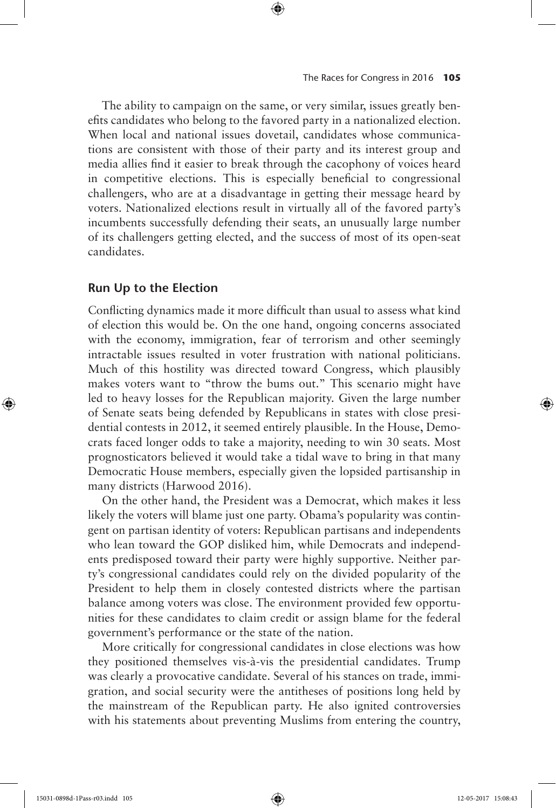The ability to campaign on the same, or very similar, issues greatly benefits candidates who belong to the favored party in a nationalized election. When local and national issues dovetail, candidates whose communications are consistent with those of their party and its interest group and media allies find it easier to break through the cacophony of voices heard in competitive elections. This is especially beneficial to congressional challengers, who are at a disadvantage in getting their message heard by voters. Nationalized elections result in virtually all of the favored party's incumbents successfully defending their seats, an unusually large number of its challengers getting elected, and the success of most of its open-seat candidates.

# **Run Up to the Election**

Conflicting dynamics made it more difficult than usual to assess what kind of election this would be. On the one hand, ongoing concerns associated with the economy, immigration, fear of terrorism and other seemingly intractable issues resulted in voter frustration with national politicians. Much of this hostility was directed toward Congress, which plausibly makes voters want to "throw the bums out." This scenario might have led to heavy losses for the Republican majority. Given the large number of Senate seats being defended by Republicans in states with close presidential contests in 2012, it seemed entirely plausible. In the House, Democrats faced longer odds to take a majority, needing to win 30 seats. Most prognosticators believed it would take a tidal wave to bring in that many Democratic House members, especially given the lopsided partisanship in many districts (Harwood 2016).

On the other hand, the President was a Democrat, which makes it less likely the voters will blame just one party. Obama's popularity was contingent on partisan identity of voters: Republican partisans and independents who lean toward the GOP disliked him, while Democrats and independents predisposed toward their party were highly supportive. Neither party's congressional candidates could rely on the divided popularity of the President to help them in closely contested districts where the partisan balance among voters was close. The environment provided few opportunities for these candidates to claim credit or assign blame for the federal government's performance or the state of the nation.

More critically for congressional candidates in close elections was how they positioned themselves vis-à-vis the presidential candidates. Trump was clearly a provocative candidate. Several of his stances on trade, immigration, and social security were the antitheses of positions long held by the mainstream of the Republican party. He also ignited controversies with his statements about preventing Muslims from entering the country,

⊕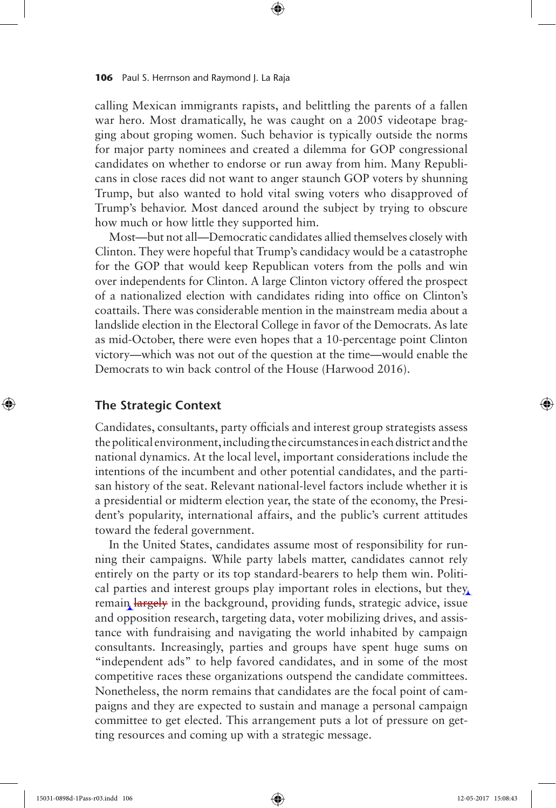calling Mexican immigrants rapists, and belittling the parents of a fallen war hero. Most dramatically, he was caught on a 2005 videotape bragging about groping women. Such behavior is typically outside the norms for major party nominees and created a dilemma for GOP congressional candidates on whether to endorse or run away from him. Many Republicans in close races did not want to anger staunch GOP voters by shunning Trump, but also wanted to hold vital swing voters who disapproved of Trump's behavior. Most danced around the subject by trying to obscure how much or how little they supported him.

⊕

Most—but not all—Democratic candidates allied themselves closely with Clinton. They were hopeful that Trump's candidacy would be a catastrophe for the GOP that would keep Republican voters from the polls and win over independents for Clinton. A large Clinton victory offered the prospect of a nationalized election with candidates riding into office on Clinton's coattails. There was considerable mention in the mainstream media about a landslide election in the Electoral College in favor of the Democrats. As late as mid-October, there were even hopes that a 10-percentage point Clinton victory—which was not out of the question at the time—would enable the Democrats to win back control of the House (Harwood 2016).

# **The Strategic Context**

⊕

Candidates, consultants, party officials and interest group strategists assess the political environment, including the circumstances in each district and the national dynamics. At the local level, important considerations include the intentions of the incumbent and other potential candidates, and the partisan history of the seat. Relevant national-level factors include whether it is a presidential or midterm election year, the state of the economy, the President's popularity, international affairs, and the public's current attitudes toward the federal government.

In the United States, candidates assume most of responsibility for running their campaigns. While party labels matter, candidates cannot rely entirely on the party or its top standard-bearers to help them win. Political parties and interest groups play important roles in elections, but they remain largely in the background, providing funds, strategic advice, issue and opposition research, targeting data, voter mobilizing drives, and assistance with fundraising and navigating the world inhabited by campaign consultants. Increasingly, parties and groups have spent huge sums on "independent ads" to help favored candidates, and in some of the most competitive races these organizations outspend the candidate committees. Nonetheless, the norm remains that candidates are the focal point of campaigns and they are expected to sustain and manage a personal campaign committee to get elected. This arrangement puts a lot of pressure on getting resources and coming up with a strategic message.

15031-0898d-1Pass-r03.indd 106 12-05-2017 15:08:43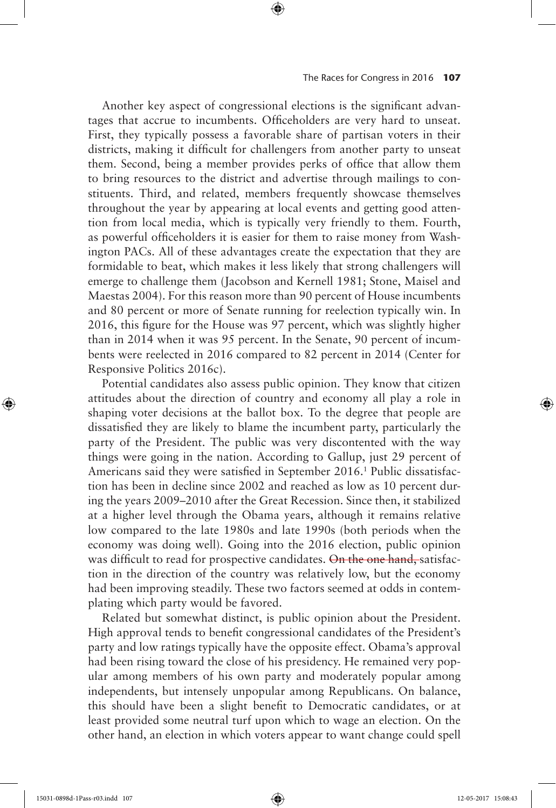Another key aspect of congressional elections is the significant advantages that accrue to incumbents. Officeholders are very hard to unseat. First, they typically possess a favorable share of partisan voters in their districts, making it difficult for challengers from another party to unseat them. Second, being a member provides perks of office that allow them to bring resources to the district and advertise through mailings to constituents. Third, and related, members frequently showcase themselves throughout the year by appearing at local events and getting good attention from local media, which is typically very friendly to them. Fourth, as powerful officeholders it is easier for them to raise money from Washington PACs. All of these advantages create the expectation that they are formidable to beat, which makes it less likely that strong challengers will emerge to challenge them (Jacobson and Kernell 1981; Stone, Maisel and Maestas 2004). For this reason more than 90 percent of House incumbents and 80 percent or more of Senate running for reelection typically win. In 2016, this figure for the House was 97 percent, which was slightly higher than in 2014 when it was 95 percent. In the Senate, 90 percent of incumbents were reelected in 2016 compared to 82 percent in 2014 (Center for Responsive Politics 2016c).

⊕

Potential candidates also assess public opinion. They know that citizen attitudes about the direction of country and economy all play a role in shaping voter decisions at the ballot box. To the degree that people are dissatisfied they are likely to blame the incumbent party, particularly the party of the President. The public was very discontented with the way things were going in the nation. According to Gallup, just 29 percent of Americans said they were satisfied in September 2016.<sup>1</sup> Public dissatisfaction has been in decline since 2002 and reached as low as 10 percent during the years 2009–2010 after the Great Recession. Since then, it stabilized at a higher level through the Obama years, although it remains relative low compared to the late 1980s and late 1990s (both periods when the economy was doing well). Going into the 2016 election, public opinion was difficult to read for prospective candidates. On the one hand, satisfaction in the direction of the country was relatively low, but the economy had been improving steadily. These two factors seemed at odds in contemplating which party would be favored.

Related but somewhat distinct, is public opinion about the President. High approval tends to benefit congressional candidates of the President's party and low ratings typically have the opposite effect. Obama's approval had been rising toward the close of his presidency. He remained very popular among members of his own party and moderately popular among independents, but intensely unpopular among Republicans. On balance, this should have been a slight benefit to Democratic candidates, or at least provided some neutral turf upon which to wage an election. On the other hand, an election in which voters appear to want change could spell

⊕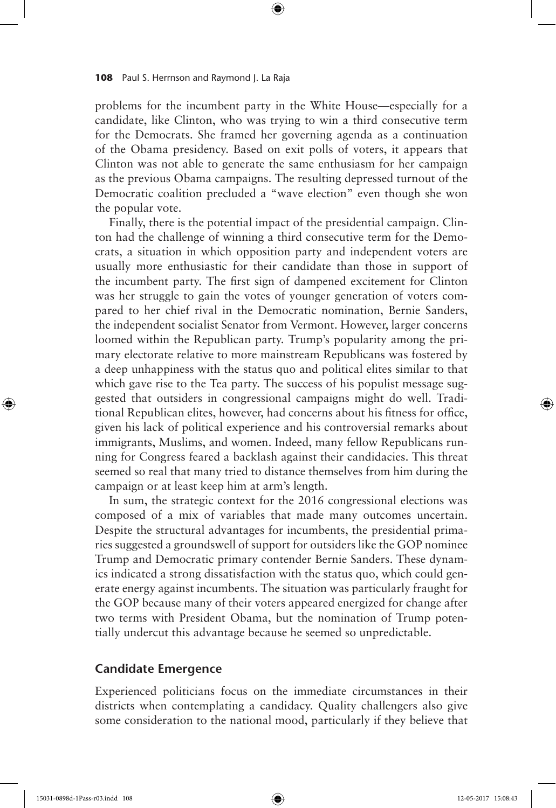problems for the incumbent party in the White House—especially for a candidate, like Clinton, who was trying to win a third consecutive term for the Democrats. She framed her governing agenda as a continuation of the Obama presidency. Based on exit polls of voters, it appears that Clinton was not able to generate the same enthusiasm for her campaign as the previous Obama campaigns. The resulting depressed turnout of the Democratic coalition precluded a "wave election" even though she won the popular vote.

⊕

Finally, there is the potential impact of the presidential campaign. Clinton had the challenge of winning a third consecutive term for the Democrats, a situation in which opposition party and independent voters are usually more enthusiastic for their candidate than those in support of the incumbent party. The first sign of dampened excitement for Clinton was her struggle to gain the votes of younger generation of voters compared to her chief rival in the Democratic nomination, Bernie Sanders, the independent socialist Senator from Vermont. However, larger concerns loomed within the Republican party. Trump's popularity among the primary electorate relative to more mainstream Republicans was fostered by a deep unhappiness with the status quo and political elites similar to that which gave rise to the Tea party. The success of his populist message suggested that outsiders in congressional campaigns might do well. Traditional Republican elites, however, had concerns about his fitness for office, given his lack of political experience and his controversial remarks about immigrants, Muslims, and women. Indeed, many fellow Republicans running for Congress feared a backlash against their candidacies. This threat seemed so real that many tried to distance themselves from him during the campaign or at least keep him at arm's length.

In sum, the strategic context for the 2016 congressional elections was composed of a mix of variables that made many outcomes uncertain. Despite the structural advantages for incumbents, the presidential primaries suggested a groundswell of support for outsiders like the GOP nominee Trump and Democratic primary contender Bernie Sanders. These dynamics indicated a strong dissatisfaction with the status quo, which could generate energy against incumbents. The situation was particularly fraught for the GOP because many of their voters appeared energized for change after two terms with President Obama, but the nomination of Trump potentially undercut this advantage because he seemed so unpredictable.

# **Candidate Emergence**

Experienced politicians focus on the immediate circumstances in their districts when contemplating a candidacy. Quality challengers also give some consideration to the national mood, particularly if they believe that

⊕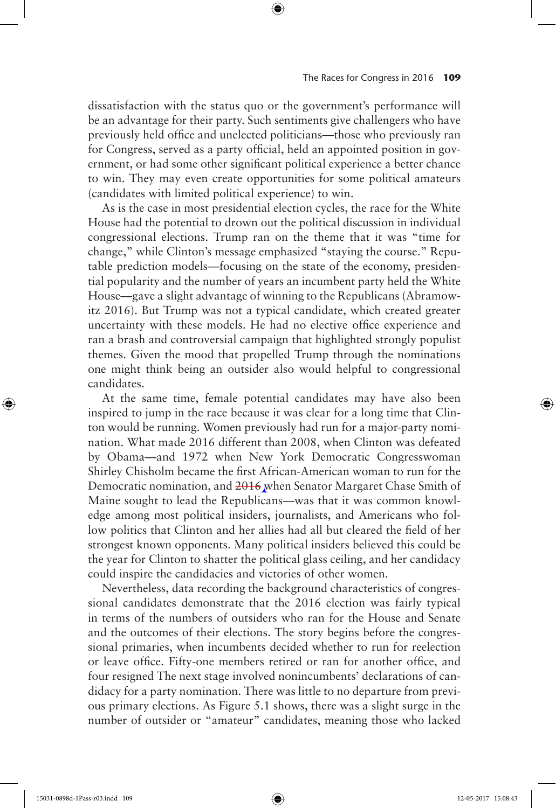dissatisfaction with the status quo or the government's performance will be an advantage for their party. Such sentiments give challengers who have previously held office and unelected politicians—those who previously ran for Congress, served as a party official, held an appointed position in government, or had some other significant political experience a better chance to win. They may even create opportunities for some political amateurs (candidates with limited political experience) to win.

⊕

As is the case in most presidential election cycles, the race for the White House had the potential to drown out the political discussion in individual congressional elections. Trump ran on the theme that it was "time for change," while Clinton's message emphasized "staying the course." Reputable prediction models—focusing on the state of the economy, presidential popularity and the number of years an incumbent party held the White House—gave a slight advantage of winning to the Republicans (Abramowitz 2016). But Trump was not a typical candidate, which created greater uncertainty with these models. He had no elective office experience and ran a brash and controversial campaign that highlighted strongly populist themes. Given the mood that propelled Trump through the nominations one might think being an outsider also would helpful to congressional candidates.

At the same time, female potential candidates may have also been inspired to jump in the race because it was clear for a long time that Clinton would be running. Women previously had run for a major-party nomination. What made 2016 different than 2008, when Clinton was defeated by Obama—and 1972 when New York Democratic Congresswoman Shirley Chisholm became the first African-American woman to run for the Democratic nomination, and 2016 when Senator Margaret Chase Smith of Maine sought to lead the Republicans—was that it was common knowledge among most political insiders, journalists, and Americans who follow politics that Clinton and her allies had all but cleared the field of her strongest known opponents. Many political insiders believed this could be the year for Clinton to shatter the political glass ceiling, and her candidacy could inspire the candidacies and victories of other women.

Nevertheless, data recording the background characteristics of congressional candidates demonstrate that the 2016 election was fairly typical in terms of the numbers of outsiders who ran for the House and Senate and the outcomes of their elections. The story begins before the congressional primaries, when incumbents decided whether to run for reelection or leave office. Fifty-one members retired or ran for another office, and four resigned The next stage involved nonincumbents' declarations of candidacy for a party nomination. There was little to no departure from previous primary elections. As Figure 5.1 shows, there was a slight surge in the number of outsider or "amateur" candidates, meaning those who lacked

15031-0898d-1Pass-r03.indd 109 12-05-2017 15:08:43

⊕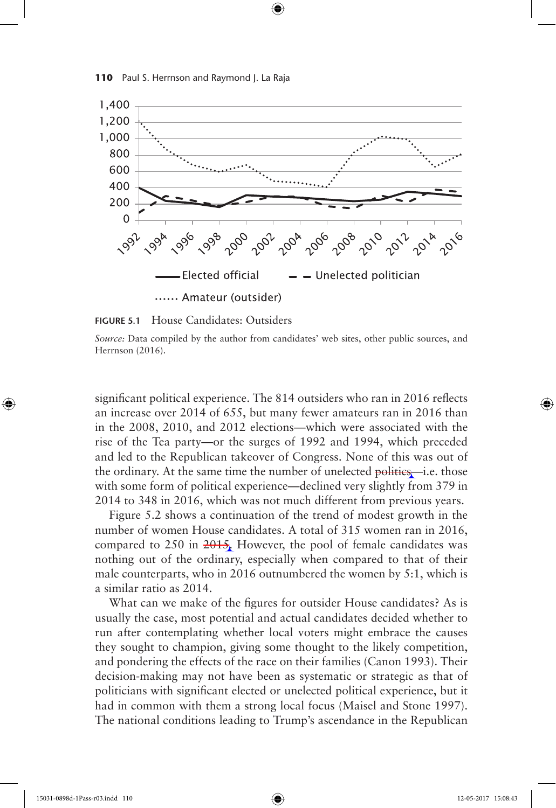



⊕

**FIGURE 5.1** House Candidates: Outsiders

*Source:* Data compiled by the author from candidates' web sites, other public sources, and Herrnson (2016).

significant political experience. The 814 outsiders who ran in 2016 reflects an increase over 2014 of 655, but many fewer amateurs ran in 2016 than in the 2008, 2010, and 2012 elections—which were associated with the rise of the Tea party—or the surges of 1992 and 1994, which preceded and led to the Republican takeover of Congress. None of this was out of the ordinary. At the same time the number of unelected politics—i.e. those with some form of political experience—declined very slightly from 379 in 2014 to 348 in 2016, which was not much different from previous years.

Figure 5.2 shows a continuation of the trend of modest growth in the number of women House candidates. A total of 315 women ran in 2016, compared to 250 in  $2015$ . However, the pool of female candidates was nothing out of the ordinary, especially when compared to that of their male counterparts, who in 2016 outnumbered the women by 5:1, which is a similar ratio as 2014.

What can we make of the figures for outsider House candidates? As is usually the case, most potential and actual candidates decided whether to run after contemplating whether local voters might embrace the causes they sought to champion, giving some thought to the likely competition, and pondering the effects of the race on their families (Canon 1993). Their decision-making may not have been as systematic or strategic as that of politicians with significant elected or unelected political experience, but it had in common with them a strong local focus (Maisel and Stone 1997). The national conditions leading to Trump's ascendance in the Republican

⊕

↔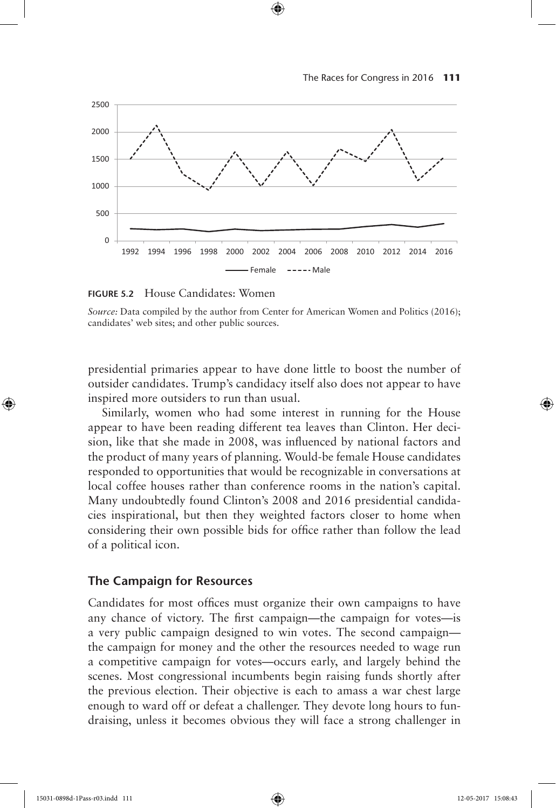

⊕

**FIGURE 5.2** House Candidates: Women

*Source:* Data compiled by the author from Center for American Women and Politics (2016); candidates' web sites; and other public sources.

presidential primaries appear to have done little to boost the number of outsider candidates. Trump's candidacy itself also does not appear to have inspired more outsiders to run than usual.

Similarly, women who had some interest in running for the House appear to have been reading different tea leaves than Clinton. Her decision, like that she made in 2008, was influenced by national factors and the product of many years of planning. Would-be female House candidates responded to opportunities that would be recognizable in conversations at local coffee houses rather than conference rooms in the nation's capital. Many undoubtedly found Clinton's 2008 and 2016 presidential candidacies inspirational, but then they weighted factors closer to home when considering their own possible bids for office rather than follow the lead of a political icon.

## **The Campaign for Resources**

Candidates for most offices must organize their own campaigns to have any chance of victory. The first campaign—the campaign for votes—is a very public campaign designed to win votes. The second campaign the campaign for money and the other the resources needed to wage run a competitive campaign for votes—occurs early, and largely behind the scenes. Most congressional incumbents begin raising funds shortly after the previous election. Their objective is each to amass a war chest large enough to ward off or defeat a challenger. They devote long hours to fundraising, unless it becomes obvious they will face a strong challenger in

⊕

↔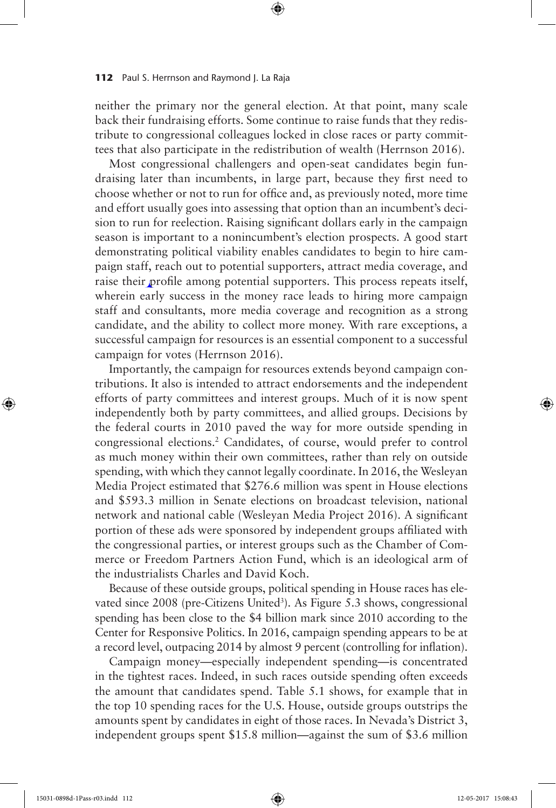neither the primary nor the general election. At that point, many scale back their fundraising efforts. Some continue to raise funds that they redistribute to congressional colleagues locked in close races or party committees that also participate in the redistribution of wealth (Herrnson 2016).

⊕

Most congressional challengers and open-seat candidates begin fundraising later than incumbents, in large part, because they first need to choose whether or not to run for office and, as previously noted, more time and effort usually goes into assessing that option than an incumbent's decision to run for reelection. Raising significant dollars early in the campaign season is important to a nonincumbent's election prospects. A good start demonstrating political viability enables candidates to begin to hire campaign staff, reach out to potential supporters, attract media coverage, and raise their profile among potential supporters. This process repeats itself, wherein early success in the money race leads to hiring more campaign staff and consultants, more media coverage and recognition as a strong candidate, and the ability to collect more money. With rare exceptions, a successful campaign for resources is an essential component to a successful campaign for votes (Herrnson 2016).

Importantly, the campaign for resources extends beyond campaign contributions. It also is intended to attract endorsements and the independent efforts of party committees and interest groups. Much of it is now spent independently both by party committees, and allied groups. Decisions by the federal courts in 2010 paved the way for more outside spending in congressional elections.2 Candidates, of course, would prefer to control as much money within their own committees, rather than rely on outside spending, with which they cannot legally coordinate. In 2016, the Wesleyan Media Project estimated that \$276.6 million was spent in House elections and \$593.3 million in Senate elections on broadcast television, national network and national cable (Wesleyan Media Project 2016). A significant portion of these ads were sponsored by independent groups affiliated with the congressional parties, or interest groups such as the Chamber of Commerce or Freedom Partners Action Fund, which is an ideological arm of the industrialists Charles and David Koch.

Because of these outside groups, political spending in House races has elevated since 2008 (pre-Citizens United<sup>3</sup>). As Figure 5.3 shows, congressional spending has been close to the \$4 billion mark since 2010 according to the Center for Responsive Politics. In 2016, campaign spending appears to be at a record level, outpacing 2014 by almost 9 percent (controlling for inflation).

Campaign money—especially independent spending—is concentrated in the tightest races. Indeed, in such races outside spending often exceeds the amount that candidates spend. Table 5.1 shows, for example that in the top 10 spending races for the U.S. House, outside groups outstrips the amounts spent by candidates in eight of those races. In Nevada's District 3, independent groups spent \$15.8 million—against the sum of \$3.6 million

⊕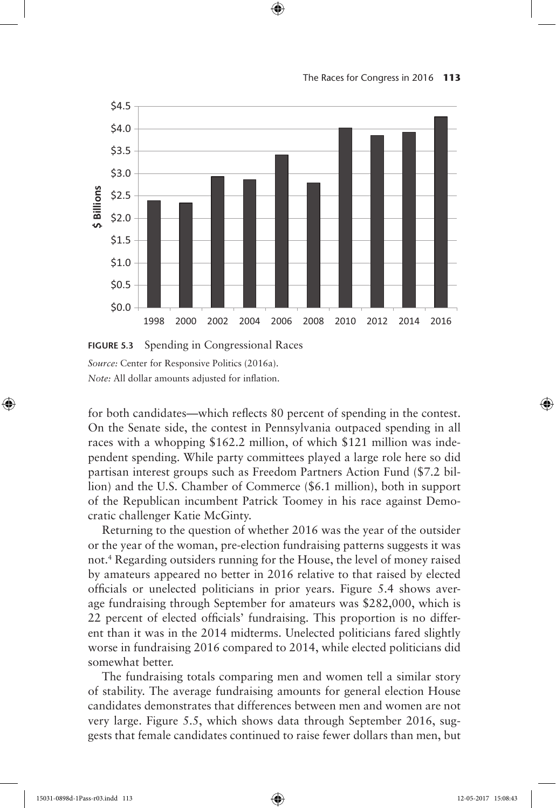



 $\bigoplus$ 

for both candidates—which reflects 80 percent of spending in the contest. On the Senate side, the contest in Pennsylvania outpaced spending in all races with a whopping \$162.2 million, of which \$121 million was independent spending. While party committees played a large role here so did partisan interest groups such as Freedom Partners Action Fund (\$7.2 billion) and the U.S. Chamber of Commerce (\$6.1 million), both in support of the Republican incumbent Patrick Toomey in his race against Democratic challenger Katie McGinty.

Returning to the question of whether 2016 was the year of the outsider or the year of the woman, pre-election fundraising patterns suggests it was not.4 Regarding outsiders running for the House, the level of money raised by amateurs appeared no better in 2016 relative to that raised by elected officials or unelected politicians in prior years. Figure 5.4 shows average fundraising through September for amateurs was \$282,000, which is 22 percent of elected officials' fundraising. This proportion is no different than it was in the 2014 midterms. Unelected politicians fared slightly worse in fundraising 2016 compared to 2014, while elected politicians did somewhat better.

The fundraising totals comparing men and women tell a similar story of stability. The average fundraising amounts for general election House candidates demonstrates that differences between men and women are not very large. Figure 5.5, which shows data through September 2016, suggests that female candidates continued to raise fewer dollars than men, but

⊕

**FIGURE 5.3** Spending in Congressional Races *Source:* Center for Responsive Politics (2016a). *Note:* All dollar amounts adjusted for inflation.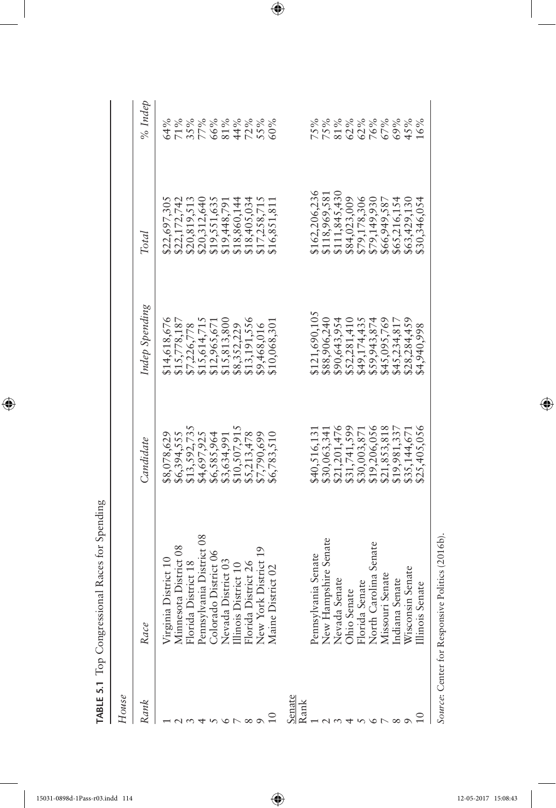TABLE 5.1 Top Congressional Races for Spending **TABLE 5.1** Top Congressional Races for Spending

 $\overline{\phantom{a}}$ 

 $\bigoplus$ 

| House  |                                                                                                                                                                                                                                           |                              |                                |                              |                   |
|--------|-------------------------------------------------------------------------------------------------------------------------------------------------------------------------------------------------------------------------------------------|------------------------------|--------------------------------|------------------------------|-------------------|
| Rank   | Race                                                                                                                                                                                                                                      | Candidate                    | Indep Spending                 | Total                        | $%$ Indep         |
|        |                                                                                                                                                                                                                                           | \$8,078,629                  | \$14,618,676                   | \$22,697,305                 | 64%               |
|        |                                                                                                                                                                                                                                           | \$6,394,555                  | \$15,778,187                   | \$22,172,742                 |                   |
|        |                                                                                                                                                                                                                                           | \$13,592,735                 | \$7,226,778                    | \$20,819,513                 | 71%<br>35%<br>77% |
|        |                                                                                                                                                                                                                                           | \$4,697,925                  | \$15,614,715                   | \$20,312,640                 |                   |
|        |                                                                                                                                                                                                                                           | \$6,585,964                  | \$12,965,671                   | \$19,551,635                 |                   |
|        |                                                                                                                                                                                                                                           | \$3,634,991                  | \$15,813,800                   | \$19,448,791                 | 66%<br>81%<br>44% |
|        |                                                                                                                                                                                                                                           | \$10,507,915                 | \$8,352,229                    | \$18,860,144                 |                   |
|        |                                                                                                                                                                                                                                           | \$5,213,478                  | 13,191,556                     | \$18,405,034                 |                   |
|        |                                                                                                                                                                                                                                           | \$7,790,699                  | \$9,468,016                    | \$17,258,715                 | 72%<br>55%<br>60% |
|        | Virginia District 10<br>Minnesota District 08<br>Florida District 18<br>Pennsylvania District 08<br>Colorado District 06<br>Colorado District 06<br>Mevada District 10<br>Florida District 26<br>Rew York District 26<br>Mane District 26 | \$6,783,510                  | \$10,068,301                   | \$16,851,811                 |                   |
| senate |                                                                                                                                                                                                                                           |                              |                                |                              |                   |
| Rank   |                                                                                                                                                                                                                                           |                              |                                |                              |                   |
|        | Pennsylvania Senate<br>New Hampshire Senate<br>Nevada Senate<br>Ohio Senate<br>Florida Senate<br>Florida Senate<br>Missouri Senate<br>Indiana Senate<br>Indiana Senate                                                                    | \$40,516,131                 | \$121,690,105                  | \$162,206,236                |                   |
|        |                                                                                                                                                                                                                                           | \$30,063,341                 | \$88,906,240                   | \$118,969,581                | 75%<br>75%<br>81% |
|        |                                                                                                                                                                                                                                           | \$21,201,476                 | \$90,643,954                   | \$111,845,430                |                   |
|        |                                                                                                                                                                                                                                           |                              |                                |                              |                   |
|        |                                                                                                                                                                                                                                           | \$31,741,599<br>\$30,003,871 | $$52,281,410$<br>$$49,174,435$ | \$84,023,009<br>\$79,178,306 | 62%<br>62%<br>76% |
|        |                                                                                                                                                                                                                                           | \$19,206,056                 | \$59,943,874                   | \$79,149,930                 |                   |
|        |                                                                                                                                                                                                                                           | \$21,853,818                 | \$45,095,769                   | \$66,949,587                 | 67%               |
|        |                                                                                                                                                                                                                                           | \$19,981,337                 | \$45,234,817                   | \$65,216,154                 | 69%<br>45%        |
|        |                                                                                                                                                                                                                                           | \$35,144,671                 | \$28,284,459                   | \$63,429,130                 |                   |
|        | llinois Senate                                                                                                                                                                                                                            | \$25,405,056                 | \$4,940,998                    | \$30,346,054                 | 16%               |
|        |                                                                                                                                                                                                                                           |                              |                                |                              |                   |

 $\bigoplus$ 

Source: Center for Responsive Politics (2016b). *Source*: Center for Responsive Politics (2016b).

 $\bigoplus$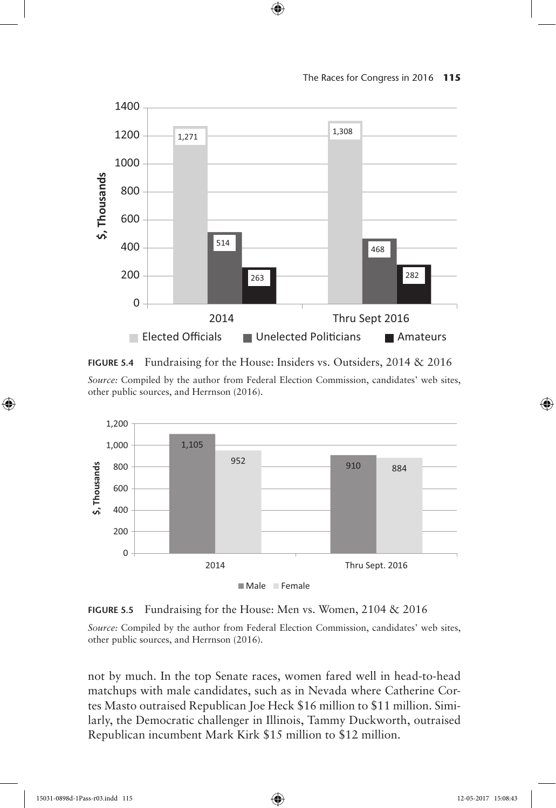The Races for Congress in 2016 **115**



 $\bigoplus$ 

**FIGURE 5.4** Fundraising for the House: Insiders vs. Outsiders, 2014 & 2016

*Source:* Compiled by the author from Federal Election Commission, candidates' web sites, other public sources, and Herrnson (2016).



**FIGURE 5.5** Fundraising for the House: Men vs. Women, 2104 & 2016

*Source:* Compiled by the author from Federal Election Commission, candidates' web sites, other public sources, and Herrnson (2016).

not by much. In the top Senate races, women fared well in head-to-head matchups with male candidates, such as in Nevada where Catherine Cortes Masto outraised Republican Joe Heck \$16 million to \$11 million. Similarly, the Democratic challenger in Illinois, Tammy Duckworth, outraised Republican incumbent Mark Kirk \$15 million to \$12 million.

⊕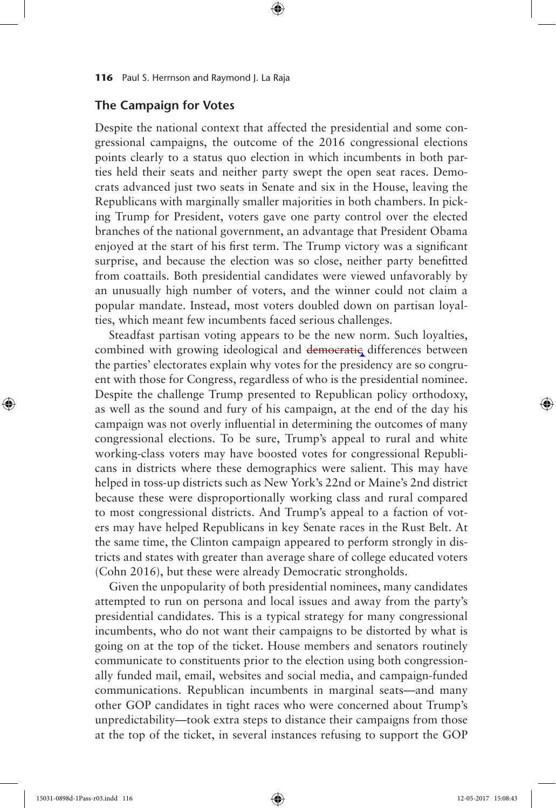# **The Campaign for Votes**

Despite the national context that affected the presidential and some congressional campaigns, the outcome of the 2016 congressional elections points clearly to a status quo election in which incumbents in both parties held their seats and neither party swept the open seat races. Democrats advanced just two seats in Senate and six in the House, leaving the Republicans with marginally smaller majorities in both chambers. In picking Trump for President, voters gave one party control over the elected branches of the national government, an advantage that President Obama enjoyed at the start of his first term. The Trump victory was a significant surprise, and because the election was so close, neither party benefitted from coattails. Both presidential candidates were viewed unfavorably by an unusually high number of voters, and the winner could not claim a popular mandate. Instead, most voters doubled down on partisan loyalties, which meant few incumbents faced serious challenges.

⊕

Steadfast partisan voting appears to be the new norm. Such loyalties, combined with growing ideological and democratic differences between the parties' electorates explain why votes for the presidency are so congruent with those for Congress, regardless of who is the presidential nominee. Despite the challenge Trump presented to Republican policy orthodoxy, as well as the sound and fury of his campaign, at the end of the day his campaign was not overly influential in determining the outcomes of many congressional elections. To be sure, Trump's appeal to rural and white working-class voters may have boosted votes for congressional Republicans in districts where these demographics were salient. This may have helped in toss-up districts such as New York's 22nd or Maine's 2nd district because these were disproportionally working class and rural compared to most congressional districts. And Trump's appeal to a faction of voters may have helped Republicans in key Senate races in the Rust Belt. At the same time, the Clinton campaign appeared to perform strongly in districts and states with greater than average share of college educated voters (Cohn 2016), but these were already Democratic strongholds.

Given the unpopularity of both presidential nominees, many candidates attempted to run on persona and local issues and away from the party's presidential candidates. This is a typical strategy for many congressional incumbents, who do not want their campaigns to be distorted by what is going on at the top of the ticket. House members and senators routinely communicate to constituents prior to the election using both congressionally funded mail, email, websites and social media, and campaign-funded communications. Republican incumbents in marginal seats—and many other GOP candidates in tight races who were concerned about Trump's unpredictability—took extra steps to distance their campaigns from those at the top of the ticket, in several instances refusing to support the GOP

⊕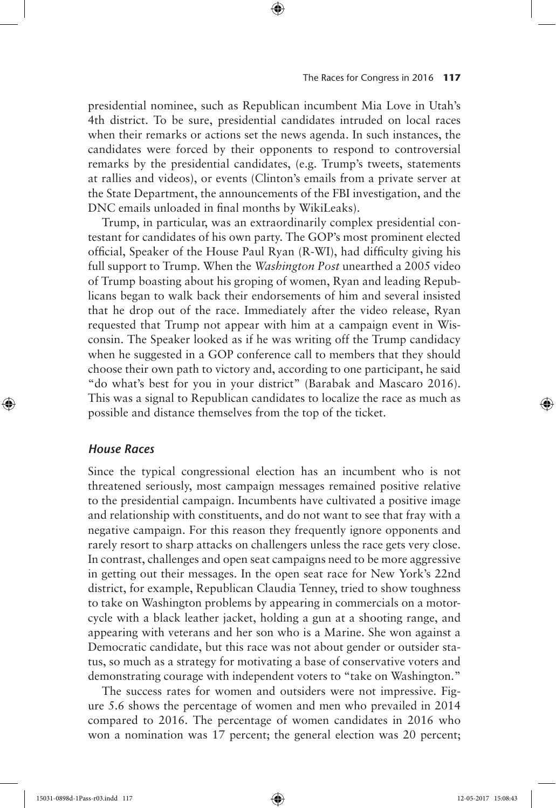presidential nominee, such as Republican incumbent Mia Love in Utah's 4th district. To be sure, presidential candidates intruded on local races when their remarks or actions set the news agenda. In such instances, the candidates were forced by their opponents to respond to controversial remarks by the presidential candidates, (e.g. Trump's tweets, statements at rallies and videos), or events (Clinton's emails from a private server at the State Department, the announcements of the FBI investigation, and the DNC emails unloaded in final months by WikiLeaks).

⊕

Trump, in particular, was an extraordinarily complex presidential contestant for candidates of his own party. The GOP's most prominent elected official, Speaker of the House Paul Ryan (R-WI), had difficulty giving his full support to Trump. When the *Washington Post* unearthed a 2005 video of Trump boasting about his groping of women, Ryan and leading Republicans began to walk back their endorsements of him and several insisted that he drop out of the race. Immediately after the video release, Ryan requested that Trump not appear with him at a campaign event in Wisconsin. The Speaker looked as if he was writing off the Trump candidacy when he suggested in a GOP conference call to members that they should choose their own path to victory and, according to one participant, he said "do what's best for you in your district" (Barabak and Mascaro 2016). This was a signal to Republican candidates to localize the race as much as possible and distance themselves from the top of the ticket.

# *House Races*

⊕

Since the typical congressional election has an incumbent who is not threatened seriously, most campaign messages remained positive relative to the presidential campaign. Incumbents have cultivated a positive image and relationship with constituents, and do not want to see that fray with a negative campaign. For this reason they frequently ignore opponents and rarely resort to sharp attacks on challengers unless the race gets very close. In contrast, challenges and open seat campaigns need to be more aggressive in getting out their messages. In the open seat race for New York's 22nd district, for example, Republican Claudia Tenney, tried to show toughness to take on Washington problems by appearing in commercials on a motorcycle with a black leather jacket, holding a gun at a shooting range, and appearing with veterans and her son who is a Marine. She won against a Democratic candidate, but this race was not about gender or outsider status, so much as a strategy for motivating a base of conservative voters and demonstrating courage with independent voters to "take on Washington."

The success rates for women and outsiders were not impressive. Figure 5.6 shows the percentage of women and men who prevailed in 2014 compared to 2016. The percentage of women candidates in 2016 who won a nomination was 17 percent; the general election was 20 percent;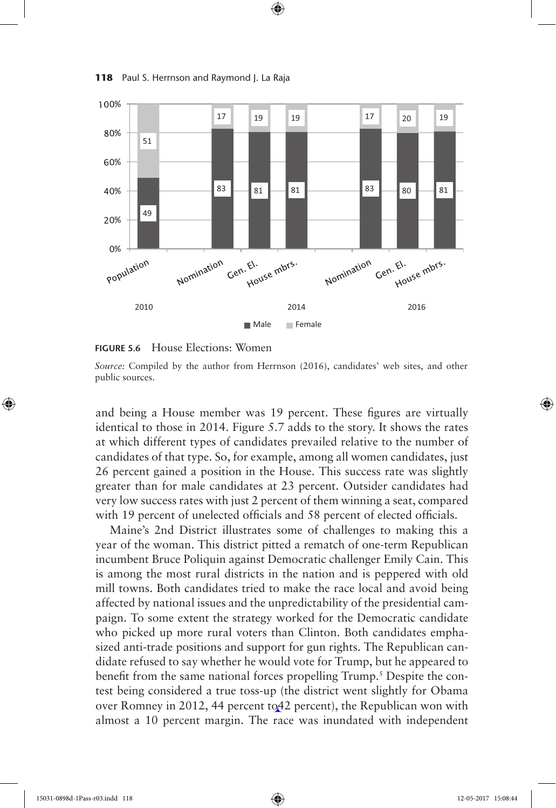

⊕

**118** Paul S. Herrnson and Raymond J. La Raja



*Source:* Compiled by the author from Herrnson (2016), candidates' web sites, and other public sources.

and being a House member was 19 percent. These figures are virtually identical to those in 2014. Figure 5.7 adds to the story. It shows the rates at which different types of candidates prevailed relative to the number of candidates of that type. So, for example, among all women candidates, just 26 percent gained a position in the House. This success rate was slightly greater than for male candidates at 23 percent. Outsider candidates had very low success rates with just 2 percent of them winning a seat, compared with 19 percent of unelected officials and 58 percent of elected officials.

Maine's 2nd District illustrates some of challenges to making this a year of the woman. This district pitted a rematch of one-term Republican incumbent Bruce Poliquin against Democratic challenger Emily Cain. This is among the most rural districts in the nation and is peppered with old mill towns. Both candidates tried to make the race local and avoid being affected by national issues and the unpredictability of the presidential campaign. To some extent the strategy worked for the Democratic candidate who picked up more rural voters than Clinton. Both candidates emphasized anti-trade positions and support for gun rights. The Republican candidate refused to say whether he would vote for Trump, but he appeared to benefit from the same national forces propelling Trump.<sup>5</sup> Despite the contest being considered a true toss-up (the district went slightly for Obama over Romney in 2012, 44 percent to42 percent), the Republican won with almost a 10 percent margin. The race was inundated with independent

⊕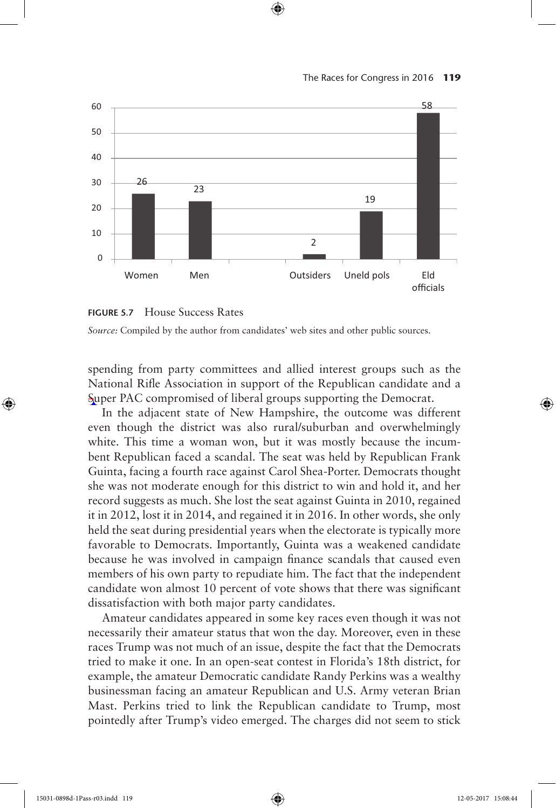



⊕





spending from party committees and allied interest groups such as the National Rifle Association in support of the Republican candidate and a Super PAC compromised of liberal groups supporting the Democrat.

In the adjacent state of New Hampshire, the outcome was different even though the district was also rural/suburban and overwhelmingly white. This time a woman won, but it was mostly because the incumbent Republican faced a scandal. The seat was held by Republican Frank Guinta, facing a fourth race against Carol Shea-Porter. Democrats thought she was not moderate enough for this district to win and hold it, and her record suggests as much. She lost the seat against Guinta in 2010, regained it in 2012, lost it in 2014, and regained it in 2016. In other words, she only held the seat during presidential years when the electorate is typically more favorable to Democrats. Importantly, Guinta was a weakened candidate because he was involved in campaign finance scandals that caused even members of his own party to repudiate him. The fact that the independent candidate won almost 10 percent of vote shows that there was significant dissatisfaction with both major party candidates.

Amateur candidates appeared in some key races even though it was not necessarily their amateur status that won the day. Moreover, even in these races Trump was not much of an issue, despite the fact that the Democrats tried to make it one. In an open-seat contest in Florida's 18th district, for example, the amateur Democratic candidate Randy Perkins was a wealthy businessman facing an amateur Republican and U.S. Army veteran Brian Mast. Perkins tried to link the Republican candidate to Trump, most pointedly after Trump's video emerged. The charges did not seem to stick

15031-0898d-1Pass-r03.indd 119 12-05-2017 15:08:44

⊕

↔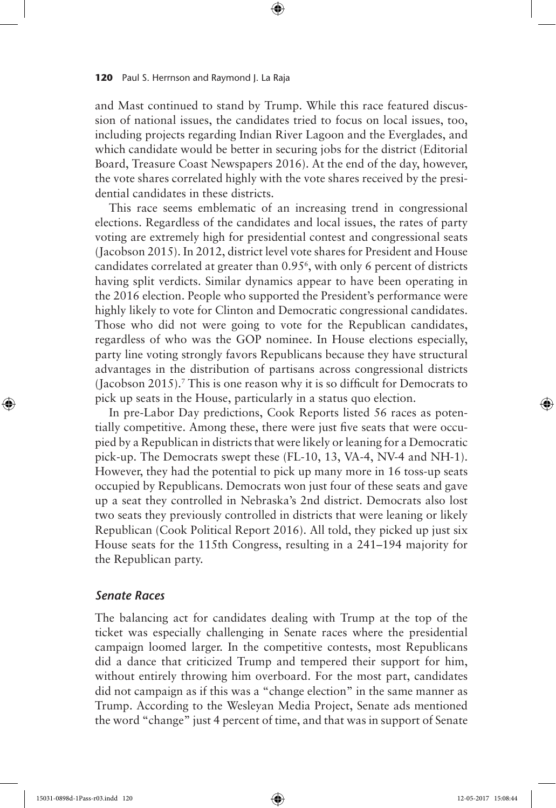and Mast continued to stand by Trump. While this race featured discussion of national issues, the candidates tried to focus on local issues, too, including projects regarding Indian River Lagoon and the Everglades, and which candidate would be better in securing jobs for the district (Editorial Board, Treasure Coast Newspapers 2016). At the end of the day, however, the vote shares correlated highly with the vote shares received by the presidential candidates in these districts.

⊕

This race seems emblematic of an increasing trend in congressional elections. Regardless of the candidates and local issues, the rates of party voting are extremely high for presidential contest and congressional seats (Jacobson 2015). In 2012, district level vote shares for President and House candidates correlated at greater than 0.956 , with only 6 percent of districts having split verdicts. Similar dynamics appear to have been operating in the 2016 election. People who supported the President's performance were highly likely to vote for Clinton and Democratic congressional candidates. Those who did not were going to vote for the Republican candidates, regardless of who was the GOP nominee. In House elections especially, party line voting strongly favors Republicans because they have structural advantages in the distribution of partisans across congressional districts (Jacobson 2015).7 This is one reason why it is so difficult for Democrats to pick up seats in the House, particularly in a status quo election.

In pre-Labor Day predictions, Cook Reports listed 56 races as potentially competitive. Among these, there were just five seats that were occupied by a Republican in districts that were likely or leaning for a Democratic pick-up. The Democrats swept these (FL-10, 13, VA-4, NV-4 and NH-1). However, they had the potential to pick up many more in 16 toss-up seats occupied by Republicans. Democrats won just four of these seats and gave up a seat they controlled in Nebraska's 2nd district. Democrats also lost two seats they previously controlled in districts that were leaning or likely Republican (Cook Political Report 2016). All told, they picked up just six House seats for the 115th Congress, resulting in a 241–194 majority for the Republican party.

# *Senate Races*

The balancing act for candidates dealing with Trump at the top of the ticket was especially challenging in Senate races where the presidential campaign loomed larger. In the competitive contests, most Republicans did a dance that criticized Trump and tempered their support for him, without entirely throwing him overboard. For the most part, candidates did not campaign as if this was a "change election" in the same manner as Trump. According to the Wesleyan Media Project, Senate ads mentioned the word "change" just 4 percent of time, and that was in support of Senate

⊕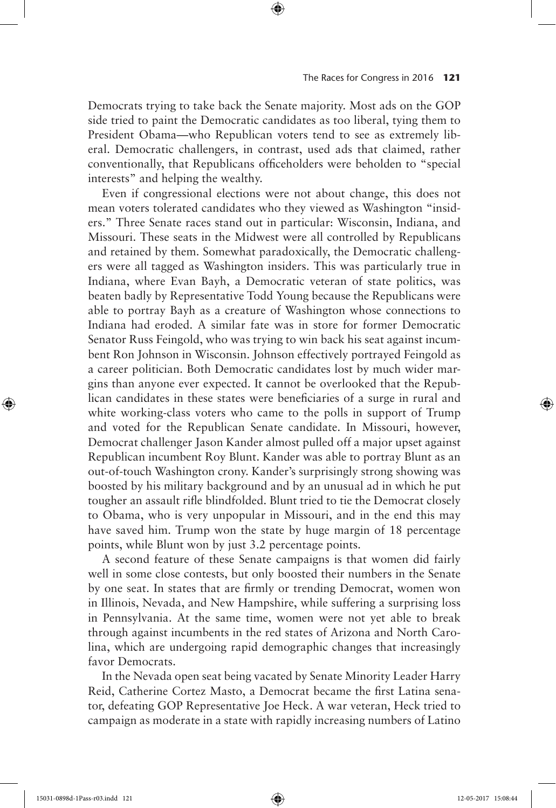Democrats trying to take back the Senate majority. Most ads on the GOP side tried to paint the Democratic candidates as too liberal, tying them to President Obama—who Republican voters tend to see as extremely liberal. Democratic challengers, in contrast, used ads that claimed, rather conventionally, that Republicans officeholders were beholden to "special interests" and helping the wealthy.

⊕

Even if congressional elections were not about change, this does not mean voters tolerated candidates who they viewed as Washington "insiders." Three Senate races stand out in particular: Wisconsin, Indiana, and Missouri. These seats in the Midwest were all controlled by Republicans and retained by them. Somewhat paradoxically, the Democratic challengers were all tagged as Washington insiders. This was particularly true in Indiana, where Evan Bayh, a Democratic veteran of state politics, was beaten badly by Representative Todd Young because the Republicans were able to portray Bayh as a creature of Washington whose connections to Indiana had eroded. A similar fate was in store for former Democratic Senator Russ Feingold, who was trying to win back his seat against incumbent Ron Johnson in Wisconsin. Johnson effectively portrayed Feingold as a career politician. Both Democratic candidates lost by much wider margins than anyone ever expected. It cannot be overlooked that the Republican candidates in these states were beneficiaries of a surge in rural and white working-class voters who came to the polls in support of Trump and voted for the Republican Senate candidate. In Missouri, however, Democrat challenger Jason Kander almost pulled off a major upset against Republican incumbent Roy Blunt. Kander was able to portray Blunt as an out-of-touch Washington crony. Kander's surprisingly strong showing was boosted by his military background and by an unusual ad in which he put tougher an assault rifle blindfolded. Blunt tried to tie the Democrat closely to Obama, who is very unpopular in Missouri, and in the end this may have saved him. Trump won the state by huge margin of 18 percentage points, while Blunt won by just 3.2 percentage points.

A second feature of these Senate campaigns is that women did fairly well in some close contests, but only boosted their numbers in the Senate by one seat. In states that are firmly or trending Democrat, women won in Illinois, Nevada, and New Hampshire, while suffering a surprising loss in Pennsylvania. At the same time, women were not yet able to break through against incumbents in the red states of Arizona and North Carolina, which are undergoing rapid demographic changes that increasingly favor Democrats.

In the Nevada open seat being vacated by Senate Minority Leader Harry Reid, Catherine Cortez Masto, a Democrat became the first Latina senator, defeating GOP Representative Joe Heck. A war veteran, Heck tried to campaign as moderate in a state with rapidly increasing numbers of Latino

15031-0898d-1Pass-r03.indd 121 12-05-2017 15:08:44

⊕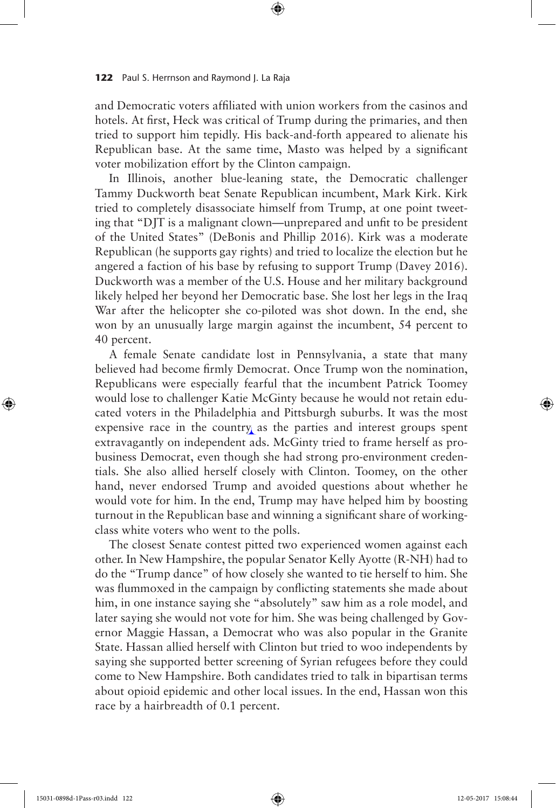and Democratic voters affiliated with union workers from the casinos and hotels. At first, Heck was critical of Trump during the primaries, and then tried to support him tepidly. His back-and-forth appeared to alienate his Republican base. At the same time, Masto was helped by a significant voter mobilization effort by the Clinton campaign.

⊕

In Illinois, another blue-leaning state, the Democratic challenger Tammy Duckworth beat Senate Republican incumbent, Mark Kirk. Kirk tried to completely disassociate himself from Trump, at one point tweeting that "DJT is a malignant clown—unprepared and unfit to be president of the United States" (DeBonis and Phillip 2016). Kirk was a moderate Republican (he supports gay rights) and tried to localize the election but he angered a faction of his base by refusing to support Trump (Davey 2016). Duckworth was a member of the U.S. House and her military background likely helped her beyond her Democratic base. She lost her legs in the Iraq War after the helicopter she co-piloted was shot down. In the end, she won by an unusually large margin against the incumbent, 54 percent to 40 percent.

A female Senate candidate lost in Pennsylvania, a state that many believed had become firmly Democrat. Once Trump won the nomination, Republicans were especially fearful that the incumbent Patrick Toomey would lose to challenger Katie McGinty because he would not retain educated voters in the Philadelphia and Pittsburgh suburbs. It was the most expensive race in the country as the parties and interest groups spent extravagantly on independent ads. McGinty tried to frame herself as probusiness Democrat, even though she had strong pro-environment credentials. She also allied herself closely with Clinton. Toomey, on the other hand, never endorsed Trump and avoided questions about whether he would vote for him. In the end, Trump may have helped him by boosting turnout in the Republican base and winning a significant share of workingclass white voters who went to the polls.

The closest Senate contest pitted two experienced women against each other. In New Hampshire, the popular Senator Kelly Ayotte (R-NH) had to do the "Trump dance" of how closely she wanted to tie herself to him. She was flummoxed in the campaign by conflicting statements she made about him, in one instance saying she "absolutely" saw him as a role model, and later saying she would not vote for him. She was being challenged by Governor Maggie Hassan, a Democrat who was also popular in the Granite State. Hassan allied herself with Clinton but tried to woo independents by saying she supported better screening of Syrian refugees before they could come to New Hampshire. Both candidates tried to talk in bipartisan terms about opioid epidemic and other local issues. In the end, Hassan won this race by a hairbreadth of 0.1 percent.

⊕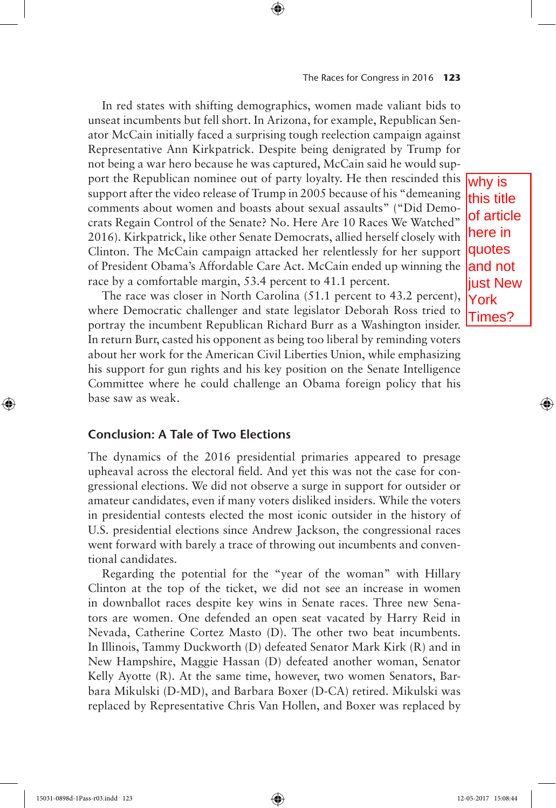## The Races for Congress in 2016 **123**

In red states with shifting demographics, women made valiant bids to unseat incumbents but fell short. In Arizona, for example, Republican Senator McCain initially faced a surprising tough reelection campaign against Representative Ann Kirkpatrick. Despite being denigrated by Trump for not being a war hero because he was captured, McCain said he would support the Republican nominee out of party loyalty. He then rescinded this support after the video release of Trump in 2005 because of his "demeaning comments about women and boasts about sexual assaults" ("Did Democrats Regain Control of the Senate? No. Here Are 10 Races We Watched" 2016). Kirkpatrick, like other Senate Democrats, allied herself closely with Clinton. The McCain campaign attacked her relentlessly for her support of President Obama's Affordable Care Act. McCain ended up winning the race by a comfortable margin, 53.4 percent to 41.1 percent.

⊕

The race was closer in North Carolina (51.1 percent to 43.2 percent), where Democratic challenger and state legislator Deborah Ross tried to portray the incumbent Republican Richard Burr as a Washington insider. In return Burr, casted his opponent as being too liberal by reminding voters about her work for the American Civil Liberties Union, while emphasizing his support for gun rights and his key position on the Senate Intelligence Committee where he could challenge an Obama foreign policy that his base saw as weak.

# **Conclusion: A Tale of Two Elections**

The dynamics of the 2016 presidential primaries appeared to presage upheaval across the electoral field. And yet this was not the case for congressional elections. We did not observe a surge in support for outsider or amateur candidates, even if many voters disliked insiders. While the voters in presidential contests elected the most iconic outsider in the history of U.S. presidential elections since Andrew Jackson, the congressional races went forward with barely a trace of throwing out incumbents and conventional candidates.

Regarding the potential for the "year of the woman" with Hillary Clinton at the top of the ticket, we did not see an increase in women in downballot races despite key wins in Senate races. Three new Senators are women. One defended an open seat vacated by Harry Reid in Nevada, Catherine Cortez Masto (D). The other two beat incumbents. In Illinois, Tammy Duckworth (D) defeated Senator Mark Kirk (R) and in New Hampshire, Maggie Hassan (D) defeated another woman, Senator Kelly Ayotte (R). At the same time, however, two women Senators, Barbara Mikulski (D-MD), and Barbara Boxer (D-CA) retired. Mikulski was replaced by Representative Chris Van Hollen, and Boxer was replaced by

why is this title of article here in quotes and not liust New York Times?

↔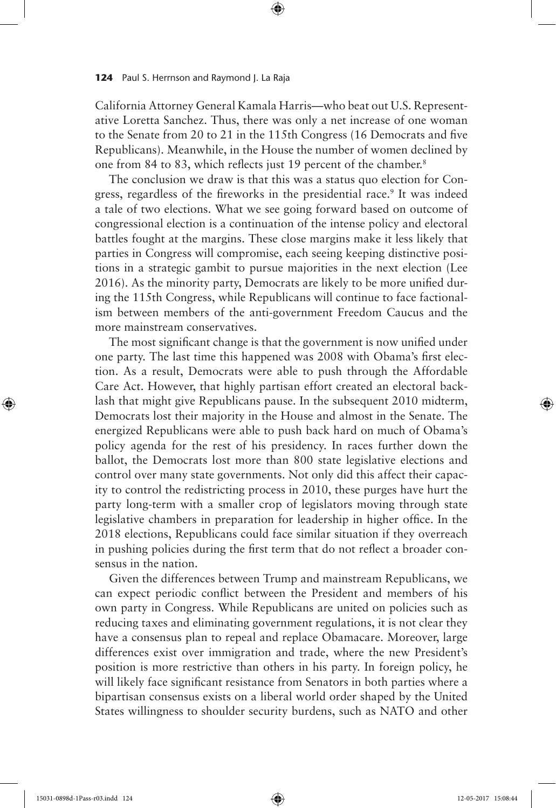California Attorney General Kamala Harris—who beat out U.S. Representative Loretta Sanchez. Thus, there was only a net increase of one woman to the Senate from 20 to 21 in the 115th Congress (16 Democrats and five Republicans). Meanwhile, in the House the number of women declined by one from 84 to 83, which reflects just 19 percent of the chamber.<sup>8</sup>

⊕

The conclusion we draw is that this was a status quo election for Congress, regardless of the fireworks in the presidential race.<sup>9</sup> It was indeed a tale of two elections. What we see going forward based on outcome of congressional election is a continuation of the intense policy and electoral battles fought at the margins. These close margins make it less likely that parties in Congress will compromise, each seeing keeping distinctive positions in a strategic gambit to pursue majorities in the next election (Lee 2016). As the minority party, Democrats are likely to be more unified during the 115th Congress, while Republicans will continue to face factionalism between members of the anti-government Freedom Caucus and the more mainstream conservatives.

The most significant change is that the government is now unified under one party. The last time this happened was 2008 with Obama's first election. As a result, Democrats were able to push through the Affordable Care Act. However, that highly partisan effort created an electoral backlash that might give Republicans pause. In the subsequent 2010 midterm, Democrats lost their majority in the House and almost in the Senate. The energized Republicans were able to push back hard on much of Obama's policy agenda for the rest of his presidency. In races further down the ballot, the Democrats lost more than 800 state legislative elections and control over many state governments. Not only did this affect their capacity to control the redistricting process in 2010, these purges have hurt the party long-term with a smaller crop of legislators moving through state legislative chambers in preparation for leadership in higher office. In the 2018 elections, Republicans could face similar situation if they overreach in pushing policies during the first term that do not reflect a broader consensus in the nation.

Given the differences between Trump and mainstream Republicans, we can expect periodic conflict between the President and members of his own party in Congress. While Republicans are united on policies such as reducing taxes and eliminating government regulations, it is not clear they have a consensus plan to repeal and replace Obamacare. Moreover, large differences exist over immigration and trade, where the new President's position is more restrictive than others in his party. In foreign policy, he will likely face significant resistance from Senators in both parties where a bipartisan consensus exists on a liberal world order shaped by the United States willingness to shoulder security burdens, such as NATO and other

⊕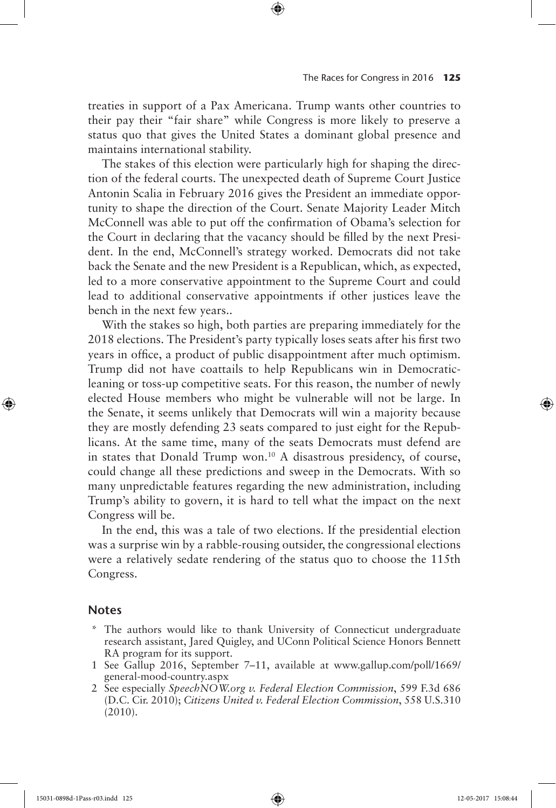treaties in support of a Pax Americana. Trump wants other countries to their pay their "fair share" while Congress is more likely to preserve a status quo that gives the United States a dominant global presence and maintains international stability.

⊕

The stakes of this election were particularly high for shaping the direction of the federal courts. The unexpected death of Supreme Court Justice Antonin Scalia in February 2016 gives the President an immediate opportunity to shape the direction of the Court. Senate Majority Leader Mitch McConnell was able to put off the confirmation of Obama's selection for the Court in declaring that the vacancy should be filled by the next President. In the end, McConnell's strategy worked. Democrats did not take back the Senate and the new President is a Republican, which, as expected, led to a more conservative appointment to the Supreme Court and could lead to additional conservative appointments if other justices leave the bench in the next few years..

With the stakes so high, both parties are preparing immediately for the 2018 elections. The President's party typically loses seats after his first two years in office, a product of public disappointment after much optimism. Trump did not have coattails to help Republicans win in Democraticleaning or toss-up competitive seats. For this reason, the number of newly elected House members who might be vulnerable will not be large. In the Senate, it seems unlikely that Democrats will win a majority because they are mostly defending 23 seats compared to just eight for the Republicans. At the same time, many of the seats Democrats must defend are in states that Donald Trump won.10 A disastrous presidency, of course, could change all these predictions and sweep in the Democrats. With so many unpredictable features regarding the new administration, including Trump's ability to govern, it is hard to tell what the impact on the next Congress will be.

In the end, this was a tale of two elections. If the presidential election was a surprise win by a rabble-rousing outsider, the congressional elections were a relatively sedate rendering of the status quo to choose the 115th Congress.

# **Notes**

⊕

- \* The authors would like to thank University of Connecticut undergraduate research assistant, Jared Quigley, and UConn Political Science Honors Bennett RA program for its support.
- 1 See Gallup 2016, September 7–11, available at www.gallup.com/poll/1669/ general-mood-country.aspx
- 2 See especially *SpeechNOW.org v. Federal Election Commission*, 599 F.3d 686 (D.C. Cir. 2010); *Citizens United v. Federal Election Commission*, 558 U.S.310 (2010).

15031-0898d-1Pass-r03.indd 125 12-05-2017 15:08:44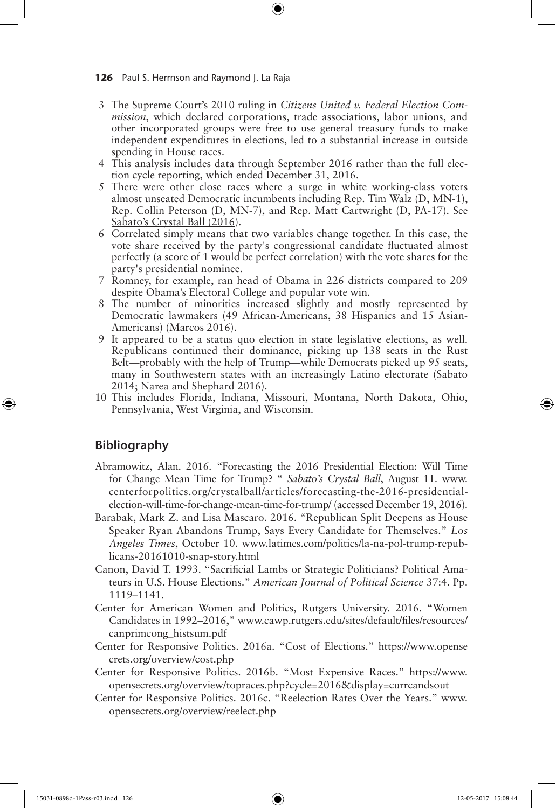3 The Supreme Court's 2010 ruling in *Citizens United v. Federal Election Commission*, which declared corporations, trade associations, labor unions, and other incorporated groups were free to use general treasury funds to make independent expenditures in elections, led to a substantial increase in outside spending in House races.

⊕

- 4 This analysis includes data through September 2016 rather than the full election cycle reporting, which ended December 31, 2016.
- 5 There were other close races where a surge in white working-class voters almost unseated Democratic incumbents including Rep. Tim Walz (D, MN-1), Rep. Collin Peterson (D, MN-7), and Rep. Matt Cartwright (D, PA-17). See Sabato's Crystal Ball (2016).
- 6 Correlated simply means that two variables change together. In this case, the vote share received by the party's congressional candidate fluctuated almost perfectly (a score of 1 would be perfect correlation) with the vote shares for the party's presidential nominee.
- 7 Romney, for example, ran head of Obama in 226 districts compared to 209 despite Obama's Electoral College and popular vote win.
- 8 The number of minorities increased slightly and mostly represented by Democratic lawmakers (49 African-Americans, 38 Hispanics and 15 Asian-Americans) (Marcos 2016).
- 9 It appeared to be a status quo election in state legislative elections, as well. Republicans continued their dominance, picking up 138 seats in the Rust Belt—probably with the help of Trump—while Democrats picked up 95 seats, many in Southwestern states with an increasingly Latino electorate (Sabato 2014; Narea and Shephard 2016).
- 10 This includes Florida, Indiana, Missouri, Montana, North Dakota, Ohio, Pennsylvania, West Virginia, and Wisconsin.

## **Bibliography**

⊕

- Abramowitz, Alan. 2016. "Forecasting the 2016 Presidential Election: Will Time for Change Mean Time for Trump? " *Sabato's Crystal Ball*, August 11. www. centerforpolitics.org/crystalball/articles/forecasting-the-2016-presidentialelection-will-time-for-change-mean-time-for-trump/ (accessed December 19, 2016).
- Barabak, Mark Z. and Lisa Mascaro. 2016. "Republican Split Deepens as House Speaker Ryan Abandons Trump, Says Every Candidate for Themselves." *Los Angeles Times*, October 10. www.latimes.com/politics/la-na-pol-trump-republicans-20161010-snap-story.html
- Canon, David T. 1993. "Sacrificial Lambs or Strategic Politicians? Political Amateurs in U.S. House Elections." *American Journal of Political Science* 37:4. Pp. 1119–1141.
- Center for American Women and Politics, Rutgers University. 2016. "Women Candidates in 1992–2016," www.cawp.rutgers.edu/sites/default/files/resources/ canprimcong\_histsum.pdf
- Center for Responsive Politics. 2016a. "Cost of Elections." https://www.opense crets.org/overview/cost.php
- Center for Responsive Politics. 2016b. "Most Expensive Races." https://www. opensecrets.org/overview/topraces.php?cycle=2016&display=currcandsout
- Center for Responsive Politics. 2016c. "Reelection Rates Over the Years." www. opensecrets.org/overview/reelect.php

15031-0898d-1Pass-r03.indd 126 12-05-2017 15:08:44

↔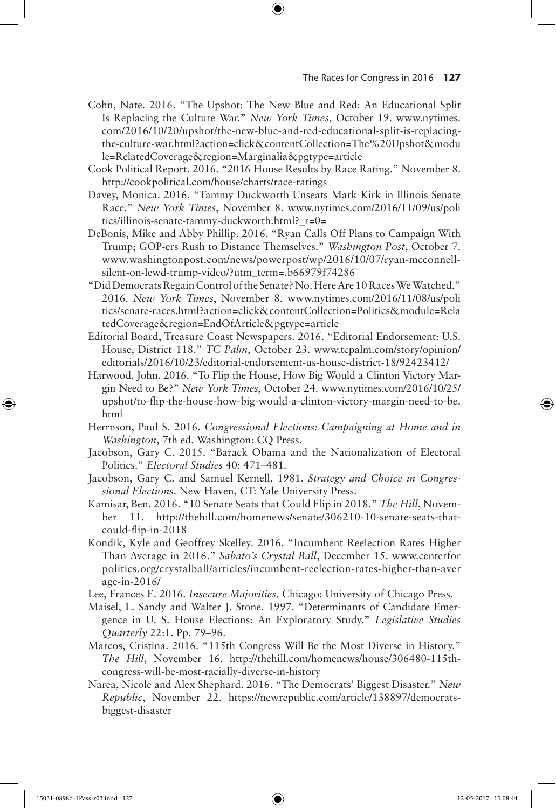- Cohn, Nate. 2016. "The Upshot: The New Blue and Red: An Educational Split Is Replacing the Culture War." *New York Times*, October 19. www.nytimes. com/2016/10/20/upshot/the-new-blue-and-red-educational-split-is-replacingthe-culture-war.html?action=click&contentCollection=The%20Upshot&modu le=RelatedCoverage&region=Marginalia&pgtype=article
- Cook Political Report. 2016. "2016 House Results by Race Rating." November 8. http://cookpolitical.com/house/charts/race-ratings
- Davey, Monica. 2016. "Tammy Duckworth Unseats Mark Kirk in Illinois Senate Race." *New York Times*, November 8. www.nytimes.com/2016/11/09/us/poli tics/illinois-senate-tammy-duckworth.html?\_r=0=
- DeBonis, Mike and Abby Phillip. 2016. "Ryan Calls Off Plans to Campaign With Trump; GOP-ers Rush to Distance Themselves." *Washington Post*, October 7. www.washingtonpost.com/news/powerpost/wp/2016/10/07/ryan-mcconnellsilent-on-lewd-trump-video/?utm\_term=.b66979f74286
- "Did Democrats Regain Control of the Senate? No. Here Are 10 Races We Watched." 2016. *New York Times*, November 8. www.nytimes.com/2016/11/08/us/poli tics/senate-races.html?action=click&contentCollection=Politics&module=Rela tedCoverage&region=EndOfArticle&pgtype=article
- Editorial Board, Treasure Coast Newspapers. 2016. "Editorial Endorsement: U.S. House, District 118." *TC Palm*, October 23. www.tcpalm.com/story/opinion/ editorials/2016/10/23/editorial-endorsement-us-house-district-18/92423412/
- Harwood, John. 2016. "To Flip the House, How Big Would a Clinton Victory Margin Need to Be?" *New York Times*, October 24. www.nytimes.com/2016/10/25/ upshot/to-flip-the-house-how-big-would-a-clinton-victory-margin-need-to-be. html
- Herrnson, Paul S. 2016. *Congressional Elections: Campaigning at Home and in Washington*, 7th ed. Washington: CQ Press.
- Jacobson, Gary C. 2015. "Barack Obama and the Nationalization of Electoral Politics." *Electoral Studies* 40: 471–481.
- Jacobson, Gary C. and Samuel Kernell. 1981. *Strategy and Choice in Congressional Elections*. New Haven, CT: Yale University Press.
- Kamisar, Ben. 2016. "10 Senate Seats that Could Flip in 2018." *The Hill*, November 11. http://thehill.com/homenews/senate/306210-10-senate-seats-thatcould-flip-in-2018
- Kondik, Kyle and Geoffrey Skelley. 2016. "Incumbent Reelection Rates Higher Than Average in 2016." *Sabato's Crystal Ball*, December 15. www.centerfor politics.org/crystalball/articles/incumbent-reelection-rates-higher-than-aver age-in-2016/
- Lee, Frances E. 2016. *Insecure Majorities*. Chicago: University of Chicago Press.
- Maisel, L. Sandy and Walter J. Stone. 1997. "Determinants of Candidate Emergence in U. S. House Elections: An Exploratory Study." *Legislative Studies Quarterly* 22:1. Pp. 79–96.
- Marcos, Cristina. 2016. "115th Congress Will Be the Most Diverse in History." *The Hill*, November 16. http://thehill.com/homenews/house/306480-115thcongress-will-be-most-racially-diverse-in-history
- Narea, Nicole and Alex Shephard. 2016. "The Democrats' Biggest Disaster." *New Republic*, November 22. https://newrepublic.com/article/138897/democratsbiggest-disaster

⊕